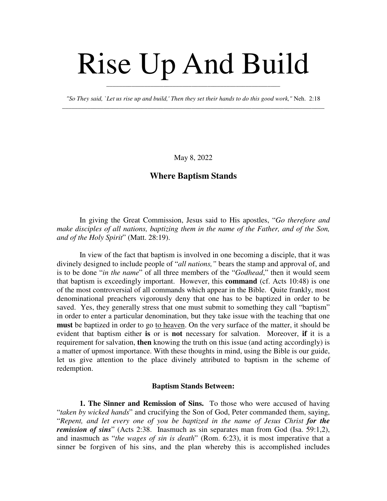# Rise Up And Build

*"So They said, `Let us rise up and build,' Then they set their hands to do this good work,"* Neh. 2:18 \_\_\_\_\_\_\_\_\_\_\_\_\_\_\_\_\_\_\_\_\_\_\_\_\_\_\_\_\_\_\_\_\_\_\_\_\_\_\_\_\_\_\_\_\_\_\_\_\_\_\_\_\_\_\_\_\_\_\_\_\_\_\_\_\_\_\_\_\_\_\_\_\_\_\_\_\_\_\_\_\_\_\_

\_\_\_\_\_\_\_\_\_\_\_\_\_\_\_\_\_\_\_\_\_\_\_\_\_\_\_\_\_\_\_\_\_\_\_\_\_\_\_\_\_\_\_\_\_\_\_\_\_\_\_\_\_\_\_

May 8, 2022

## **Where Baptism Stands**

In giving the Great Commission, Jesus said to His apostles, "*Go therefore and make disciples of all nations, baptizing them in the name of the Father, and of the Son, and of the Holy Spirit*" (Matt. 28:19).

In view of the fact that baptism is involved in one becoming a disciple, that it was divinely designed to include people of "*all nations,"* bears the stamp and approval of, and is to be done "*in the name*" of all three members of the "*Godhead*," then it would seem that baptism is exceedingly important. However, this **command** (cf. Acts 10:48) is one of the most controversial of all commands which appear in the Bible. Quite frankly, most denominational preachers vigorously deny that one has to be baptized in order to be saved. Yes, they generally stress that one must submit to something they call "baptism" in order to enter a particular denomination, but they take issue with the teaching that one **must** be baptized in order to go to heaven. On the very surface of the matter, it should be evident that baptism either **is** or is **not** necessary for salvation. Moreover, **if** it is a requirement for salvation, **then** knowing the truth on this issue (and acting accordingly) is a matter of upmost importance. With these thoughts in mind, using the Bible is our guide, let us give attention to the place divinely attributed to baptism in the scheme of redemption.

#### **Baptism Stands Between:**

**1. The Sinner and Remission of Sins.** To those who were accused of having "*taken by wicked hands*" and crucifying the Son of God, Peter commanded them, saying, "*Repent, and let every one of you be baptized in the name of Jesus Christ for the remission of sins*" (Acts 2:38. Inasmuch as sin separates man from God (Isa. 59:1,2), and inasmuch as "*the wages of sin is death*" (Rom. 6:23), it is most imperative that a sinner be forgiven of his sins, and the plan whereby this is accomplished includes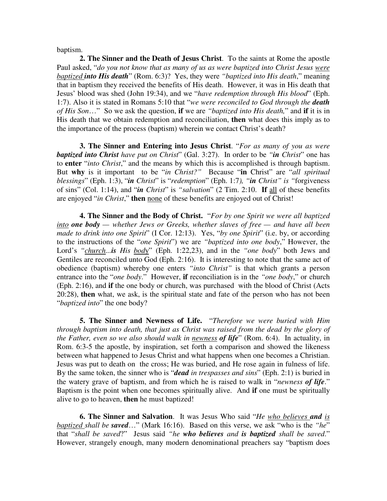baptism.

**2. The Sinner and the Death of Jesus Christ**. To the saints at Rome the apostle Paul asked, "*do you not know that as many of us as were baptized into Christ Jesus were baptized into His death*" (Rom. 6:3)? Yes, they were *"baptized into His death*," meaning that in baptism they received the benefits of His death. However, it was in His death that Jesus' blood was shed (John 19:34), and we "*have redemption through His blood*" (Eph. 1:7). Also it is stated in Romans 5:10 that "*we were reconciled to God through the death of His Son*…" So we ask the question, **if** we are *"baptized into His death,*" and **if** it is in His death that we obtain redemption and reconciliation, **then** what does this imply as to the importance of the process (baptism) wherein we contact Christ's death?

**3. The Sinner and Entering into Jesus Christ**. "*For as many of you as were baptized into Christ have put on Christ*" (Gal. 3:27). In order to be *"in Christ*" one has to **enter** "*into Christ*," and the means by which this is accomplished is through baptism. But **why** is it important to be "*in Christ?"* Because "**in** Christ" are "*all spiritual blessings*" (Eph. 1:3), "*in Christ*" is "*redemption*" (Eph. 1:7*), "in Christ" is "*forgiveness of sins" (Col. 1:14), and "*in Christ*" is *"salvation*" (2 Tim. 2:10. **If** all of these benefits are enjoyed "*in Christ*," **then** none of these benefits are enjoyed out of Christ!

**4. The Sinner and the Body of Christ.** "*For by one Spirit we were all baptized into one body — whether Jews or Greeks, whether slaves of free — and have all been made to drink into one Spirit*" (I Cor. 12:13). Yes, "*by one Spirit*" (i.e. by, or according to the instructions of the "*one Spirit*") we are *"baptized into one body*," However, the Lord's *"church...is His bod*y" (Eph. 1:22,23), and in the *"one body*" both Jews and Gentiles are reconciled unto God (Eph. 2:16). It is interesting to note that the same act of obedience (baptism) whereby one enters *"into Christ"* is that which grants a person entrance into the "*one body*." However, **if** reconciliation is in the *"one body*," or church (Eph. 2:16), and **if** the one body or church, was purchased with the blood of Christ (Acts 20:28), **then** what, we ask, is the spiritual state and fate of the person who has not been "*baptized into*" the one body?

**5. The Sinner and Newness of Life.** "*Therefore we were buried with Him through baptism into death, that just as Christ was raised from the dead by the glory of the Father, even so we also should walk in newness of life*" (Rom. 6:4). In actuality, in Rom. 6:3-5 the apostle, by inspiration, set forth a comparison and showed the likeness between what happened to Jesus Christ and what happens when one becomes a Christian. Jesus was put to death on the cross; He was buried, and He rose again in fulness of life. By the same token, the sinner who is "*dead in trespasses and sins*" (Eph. 2:1) is buried in the watery grave of baptism, and from which he is raised to walk in "*newness of life*." Baptism is the point when one becomes spiritually alive. And **if** one must be spiritually alive to go to heaven, **then** he must baptized!

**6. The Sinner and Salvation**. It was Jesus Who said "*He who believes and is baptized shall be saved*…" (Mark 16:16). Based on this verse, we ask "who is the *"he*" that "*shall be saved*?" Jesus said *"he who believes and is baptized shall be saved*." However, strangely enough, many modern denominational preachers say "baptism does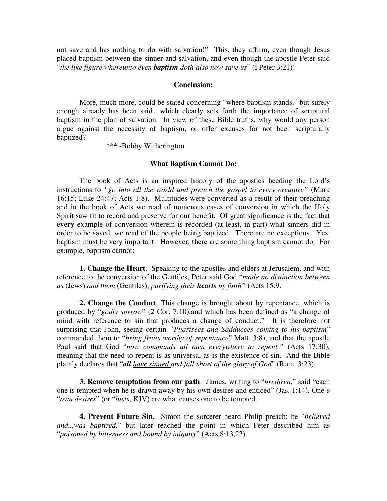not save and has nothing to do with salvation!" This, they affirm, even though Jesus placed baptism between the sinner and salvation, and even though the apostle Peter said "*the like figure whereunto even baptism doth also now save us*" (I Peter 3:21)!

#### **Conclusion:**

More, much more, could be stated concerning "where baptism stands," but surely enough already has been said which clearly sets forth the importance of scriptural baptism in the plan of salvation. In view of these Bible truths, why would any person argue against the necessity of baptism, or offer excuses for not been scripturally baptized?

\*\*\* -Bobby Witherington

#### **What Baptism Cannot Do:**

The book of Acts is an inspired history of the apostles heeding the Lord's instructions to *"go into all the world and preach the gospel to every creature"* (Mark 16:15; Luke 24:47; Acts 1:8). Multitudes were converted as a result of their preaching and in the book of Acts we read of numerous cases of conversion in which the Holy Spirit saw fit to record and preserve for our benefit. Of great significance is the fact that **every** example of conversion wherein is recorded (at least, in part) what sinners did in order to be saved, we read of the people being baptized. There are no exceptions. Yes, baptism must be very important. However, there are some thing baptism cannot do. For example, baptism cannot:

**1. Change the Heart**. Speaking to the apostles and elders at Jerusalem, and with reference to the conversion of the Gentiles, Peter said God "*made no distinction between us* (Jews) *and them* (Gentiles), *purifying their hearts by faith"* (Acts 15:9.

**2. Change the Conduct**. This change is brought about by repentance, which is produced by "*godly sorrow*" (2 Cor. 7:10),and which has been defined as "a change of mind with reference to sin that produces a change of conduct." It is therefore not surprising that John, seeing certain *"Pharisees and Sadducees coming to his baptism*" commanded them to "*bring fruits worthy of repentance*" Matt. 3:8), and that the apostle Paul said that God "*now commands all men everywhere to repent,"* (Acts 17:30), meaning that the need to repent is as universal as is the existence of sin. And the Bible plainly declares that "*all have sinned and fall short of the glory of God*" (Rom. 3:23).

**3. Remove temptation from our path**. James, writing to "*brethren*," said "each one is tempted when he is drawn away by his own desires and enticed" (Jas. 1:14). One's "*own desires*" (or "*lusts*, KJV) are what causes one to be tempted.

**4. Prevent Future Sin**. Simon the sorcerer heard Philip preach; he "*believed and...was baptized,*" but later reached the point in which Peter described him as "*poisoned by bitterness and bound by iniquity*" (Acts 8:13,23).